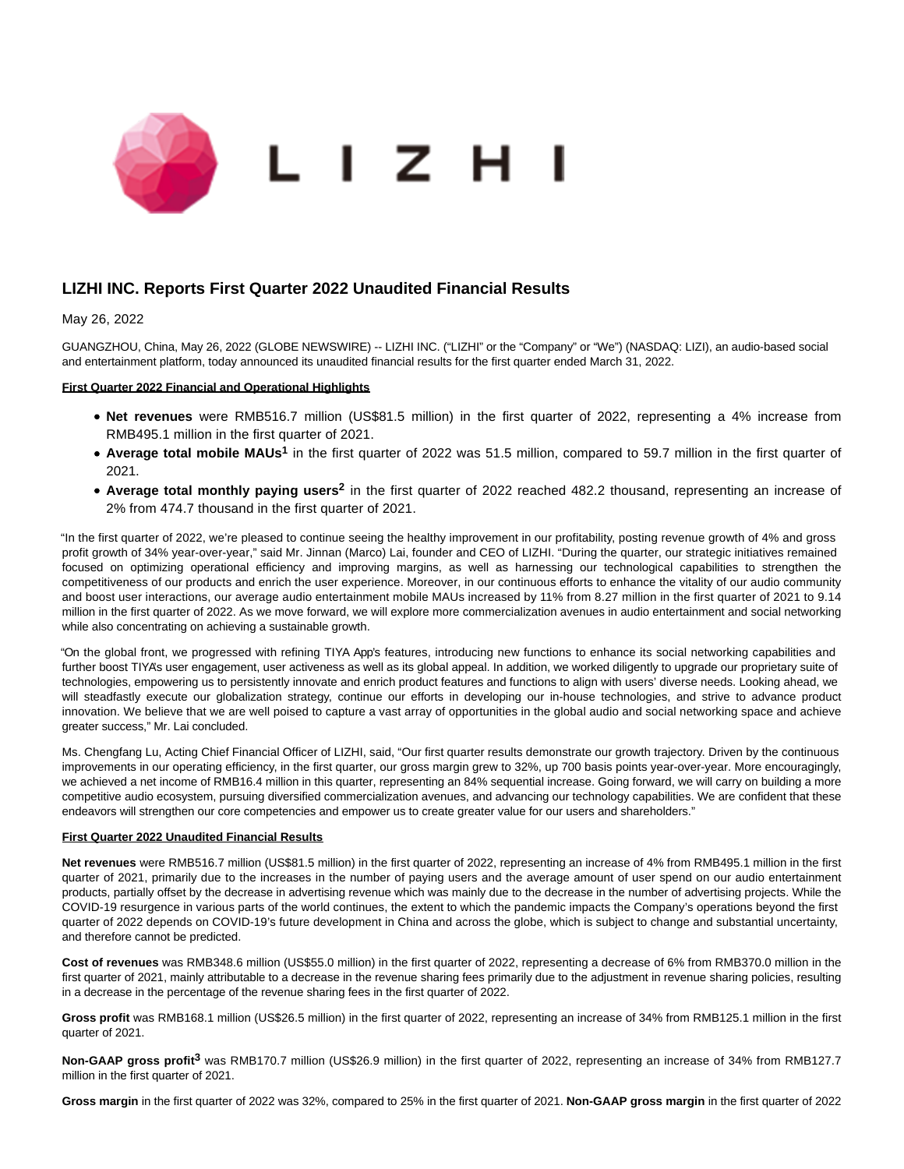

# **LIZHI INC. Reports First Quarter 2022 Unaudited Financial Results**

May 26, 2022

GUANGZHOU, China, May 26, 2022 (GLOBE NEWSWIRE) -- LIZHI INC. ("LIZHI" or the "Company" or "We") (NASDAQ: LIZI), an audio-based social and entertainment platform, today announced its unaudited financial results for the first quarter ended March 31, 2022.

## **First Quarter 2022 Financial and Operational Highlights**

- **Net revenues** were RMB516.7 million (US\$81.5 million) in the first quarter of 2022, representing a 4% increase from RMB495.1 million in the first quarter of 2021.
- Average total mobile MAUs<sup>1</sup> in the first quarter of 2022 was 51.5 million, compared to 59.7 million in the first quarter of 2021.
- Average total monthly paying users<sup>2</sup> in the first quarter of 2022 reached 482.2 thousand, representing an increase of 2% from 474.7 thousand in the first quarter of 2021.

"In the first quarter of 2022, we're pleased to continue seeing the healthy improvement in our profitability, posting revenue growth of 4% and gross profit growth of 34% year-over-year," said Mr. Jinnan (Marco) Lai, founder and CEO of LIZHI. "During the quarter, our strategic initiatives remained focused on optimizing operational efficiency and improving margins, as well as harnessing our technological capabilities to strengthen the competitiveness of our products and enrich the user experience. Moreover, in our continuous efforts to enhance the vitality of our audio community and boost user interactions, our average audio entertainment mobile MAUs increased by 11% from 8.27 million in the first quarter of 2021 to 9.14 million in the first quarter of 2022. As we move forward, we will explore more commercialization avenues in audio entertainment and social networking while also concentrating on achieving a sustainable growth.

"On the global front, we progressed with refining TIYA App's features, introducing new functions to enhance its social networking capabilities and further boost TIYA's user engagement, user activeness as well as its global appeal. In addition, we worked diligently to upgrade our proprietary suite of technologies, empowering us to persistently innovate and enrich product features and functions to align with users' diverse needs. Looking ahead, we will steadfastly execute our globalization strategy, continue our efforts in developing our in-house technologies, and strive to advance product innovation. We believe that we are well poised to capture a vast array of opportunities in the global audio and social networking space and achieve greater success," Mr. Lai concluded.

Ms. Chengfang Lu, Acting Chief Financial Officer of LIZHI, said, "Our first quarter results demonstrate our growth trajectory. Driven by the continuous improvements in our operating efficiency, in the first quarter, our gross margin grew to 32%, up 700 basis points year-over-year. More encouragingly, we achieved a net income of RMB16.4 million in this quarter, representing an 84% sequential increase. Going forward, we will carry on building a more competitive audio ecosystem, pursuing diversified commercialization avenues, and advancing our technology capabilities. We are confident that these endeavors will strengthen our core competencies and empower us to create greater value for our users and shareholders."

#### **First Quarter 2022 Unaudited Financial Results**

**Net revenues** were RMB516.7 million (US\$81.5 million) in the first quarter of 2022, representing an increase of 4% from RMB495.1 million in the first quarter of 2021, primarily due to the increases in the number of paying users and the average amount of user spend on our audio entertainment products, partially offset by the decrease in advertising revenue which was mainly due to the decrease in the number of advertising projects. While the COVID-19 resurgence in various parts of the world continues, the extent to which the pandemic impacts the Company's operations beyond the first quarter of 2022 depends on COVID-19's future development in China and across the globe, which is subject to change and substantial uncertainty, and therefore cannot be predicted.

**Cost of revenues** was RMB348.6 million (US\$55.0 million) in the first quarter of 2022, representing a decrease of 6% from RMB370.0 million in the first quarter of 2021, mainly attributable to a decrease in the revenue sharing fees primarily due to the adjustment in revenue sharing policies, resulting in a decrease in the percentage of the revenue sharing fees in the first quarter of 2022.

**Gross profit** was RMB168.1 million (US\$26.5 million) in the first quarter of 2022, representing an increase of 34% from RMB125.1 million in the first quarter of 2021.

**Non-GAAP gross profit3** was RMB170.7 million (US\$26.9 million) in the first quarter of 2022, representing an increase of 34% from RMB127.7 million in the first quarter of 2021.

**Gross margin** in the first quarter of 2022 was 32%, compared to 25% in the first quarter of 2021. **Non-GAAP gross margin** in the first quarter of 2022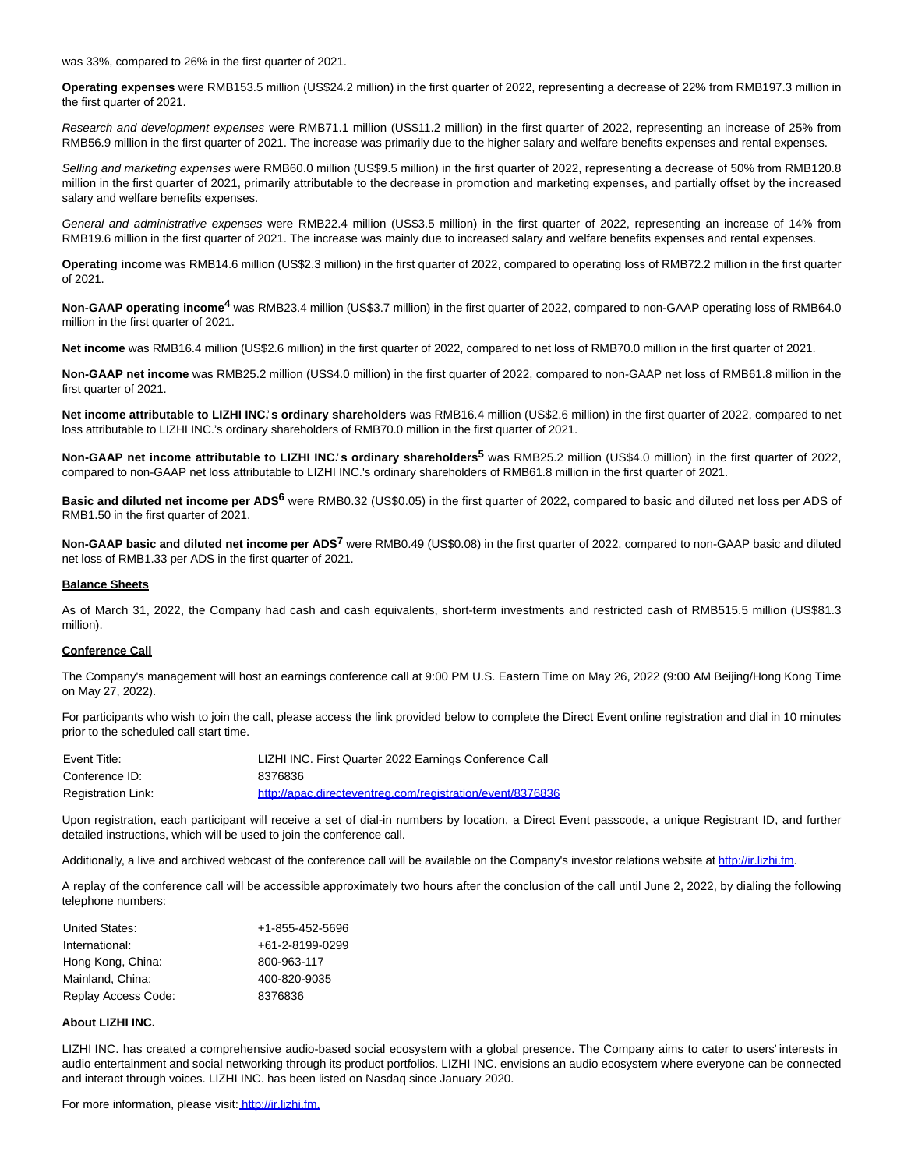was 33%, compared to 26% in the first quarter of 2021.

**Operating expenses** were RMB153.5 million (US\$24.2 million) in the first quarter of 2022, representing a decrease of 22% from RMB197.3 million in the first quarter of 2021.

Research and development expenses were RMB71.1 million (US\$11.2 million) in the first quarter of 2022, representing an increase of 25% from RMB56.9 million in the first quarter of 2021. The increase was primarily due to the higher salary and welfare benefits expenses and rental expenses.

Selling and marketing expenses were RMB60.0 million (US\$9.5 million) in the first quarter of 2022, representing a decrease of 50% from RMB120.8 million in the first quarter of 2021, primarily attributable to the decrease in promotion and marketing expenses, and partially offset by the increased salary and welfare benefits expenses.

General and administrative expenses were RMB22.4 million (US\$3.5 million) in the first quarter of 2022, representing an increase of 14% from RMB19.6 million in the first quarter of 2021. The increase was mainly due to increased salary and welfare benefits expenses and rental expenses.

**Operating income** was RMB14.6 million (US\$2.3 million) in the first quarter of 2022, compared to operating loss of RMB72.2 million in the first quarter of 2021.

**Non-GAAP operating income4** was RMB23.4 million (US\$3.7 million) in the first quarter of 2022, compared to non-GAAP operating loss of RMB64.0 million in the first quarter of 2021.

**Net income** was RMB16.4 million (US\$2.6 million) in the first quarter of 2022, compared to net loss of RMB70.0 million in the first quarter of 2021.

**Non-GAAP net income** was RMB25.2 million (US\$4.0 million) in the first quarter of 2022, compared to non-GAAP net loss of RMB61.8 million in the first quarter of 2021.

Net income attributable to LIZHI INC's ordinary shareholders was RMB16.4 million (US\$2.6 million) in the first quarter of 2022, compared to net loss attributable to LIZHI INC.'s ordinary shareholders of RMB70.0 million in the first quarter of 2021.

**Non-GAAP net income attributable to LIZHI INC.**' **s ordinary shareholders5** was RMB25.2 million (US\$4.0 million) in the first quarter of 2022, compared to non-GAAP net loss attributable to LIZHI INC.'s ordinary shareholders of RMB61.8 million in the first quarter of 2021.

**Basic and diluted net income per ADS6** were RMB0.32 (US\$0.05) in the first quarter of 2022, compared to basic and diluted net loss per ADS of RMB1.50 in the first quarter of 2021.

**Non-GAAP basic and diluted net income per ADS7** were RMB0.49 (US\$0.08) in the first quarter of 2022, compared to non-GAAP basic and diluted net loss of RMB1.33 per ADS in the first quarter of 2021.

#### **Balance Sheets**

As of March 31, 2022, the Company had cash and cash equivalents, short-term investments and restricted cash of RMB515.5 million (US\$81.3 million).

### **Conference Call**

The Company's management will host an earnings conference call at 9:00 PM U.S. Eastern Time on May 26, 2022 (9:00 AM Beijing/Hong Kong Time on May 27, 2022).

For participants who wish to join the call, please access the link provided below to complete the Direct Event online registration and dial in 10 minutes prior to the scheduled call start time.

| Event Title:       | LIZHI INC. First Quarter 2022 Earnings Conference Call    |
|--------------------|-----------------------------------------------------------|
| Conference ID:     | 8376836                                                   |
| Registration Link: | http://apac.directeventreg.com/registration/event/8376836 |

Upon registration, each participant will receive a set of dial-in numbers by location, a Direct Event passcode, a unique Registrant ID, and further detailed instructions, which will be used to join the conference call.

Additionally, a live and archived webcast of the conference call will be available on the Company's investor relations website at [http://ir.lizhi.fm.](https://www.globenewswire.com/Tracker?data=kYlc4vyY4vv_VAZbs14zY29jyN8si48uyF4liiMJ00LMNb9LOvz8AAnBRRPPkFjb62ecfZR8_yNwuJg4YasPiA==)

A replay of the conference call will be accessible approximately two hours after the conclusion of the call until June 2, 2022, by dialing the following telephone numbers:

| United States:      | +1-855-452-5696 |
|---------------------|-----------------|
| International:      | +61-2-8199-0299 |
| Hong Kong, China:   | 800-963-117     |
| Mainland, China:    | 400-820-9035    |
| Replay Access Code: | 8376836         |

### **About LIZHI INC.**

LIZHI INC. has created a comprehensive audio-based social ecosystem with a global presence. The Company aims to cater to users' interests in audio entertainment and social networking through its product portfolios. LIZHI INC. envisions an audio ecosystem where everyone can be connected and interact through voices. LIZHI INC. has been listed on Nasdaq since January 2020.

For more information, please visit[: http://ir.lizhi.fm.](https://www.globenewswire.com/Tracker?data=AM1ck4Y7twE7KZo2MX1rueLHJibzgsYz3_C54F_FnfpEgNfbz810gqwuSg9XpUWiytgdDoVnZzt6bLuEvbxPrg==)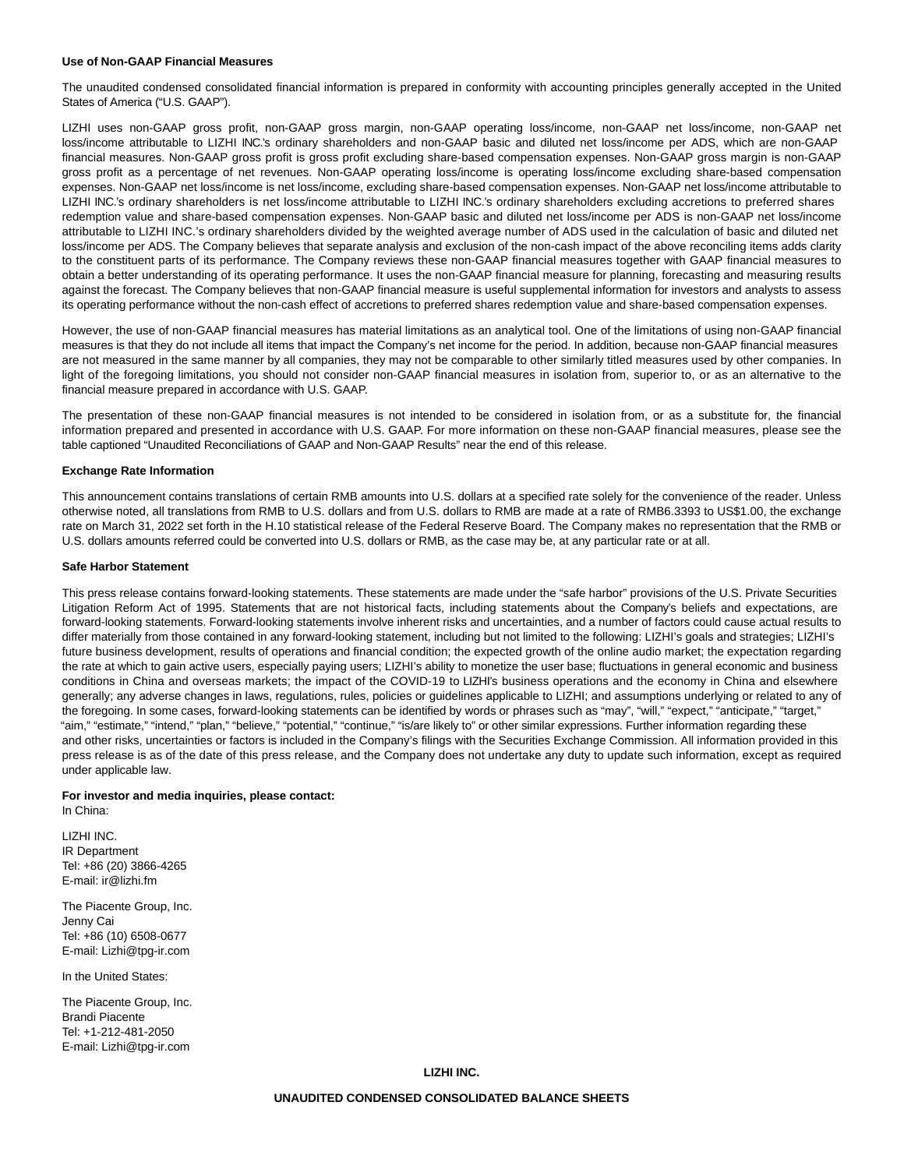#### **Use of Non-GAAP Financial Measures**

The unaudited condensed consolidated financial information is prepared in conformity with accounting principles generally accepted in the United States of America ("U.S. GAAP").

LIZHI uses non-GAAP gross profit, non-GAAP gross margin, non-GAAP operating loss/income, non-GAAP net loss/income, non-GAAP net loss/income attributable to LIZHI INC.'s ordinary shareholders and non-GAAP basic and diluted net loss/income per ADS, which are non-GAAP financial measures. Non-GAAP gross profit is gross profit excluding share-based compensation expenses. Non-GAAP gross margin is non-GAAP gross profit as a percentage of net revenues. Non-GAAP operating loss/income is operating loss/income excluding share-based compensation expenses. Non-GAAP net loss/income is net loss/income, excluding share-based compensation expenses. Non-GAAP net loss/income attributable to LIZHI INC.'s ordinary shareholders is net loss/income attributable to LIZHI INC.'s ordinary shareholders excluding accretions to preferred shares redemption value and share-based compensation expenses. Non-GAAP basic and diluted net loss/income per ADS is non-GAAP net loss/income attributable to LIZHI INC.'s ordinary shareholders divided by the weighted average number of ADS used in the calculation of basic and diluted net loss/income per ADS. The Company believes that separate analysis and exclusion of the non-cash impact of the above reconciling items adds clarity to the constituent parts of its performance. The Company reviews these non-GAAP financial measures together with GAAP financial measures to obtain a better understanding of its operating performance. It uses the non-GAAP financial measure for planning, forecasting and measuring results against the forecast. The Company believes that non-GAAP financial measure is useful supplemental information for investors and analysts to assess its operating performance without the non-cash effect of accretions to preferred shares redemption value and share-based compensation expenses.

However, the use of non-GAAP financial measures has material limitations as an analytical tool. One of the limitations of using non-GAAP financial measures is that they do not include all items that impact the Company's net income for the period. In addition, because non-GAAP financial measures are not measured in the same manner by all companies, they may not be comparable to other similarly titled measures used by other companies. In light of the foregoing limitations, you should not consider non-GAAP financial measures in isolation from, superior to, or as an alternative to the financial measure prepared in accordance with U.S. GAAP.

The presentation of these non-GAAP financial measures is not intended to be considered in isolation from, or as a substitute for, the financial information prepared and presented in accordance with U.S. GAAP. For more information on these non-GAAP financial measures, please see the table captioned "Unaudited Reconciliations of GAAP and Non-GAAP Results" near the end of this release.

### **Exchange Rate Information**

This announcement contains translations of certain RMB amounts into U.S. dollars at a specified rate solely for the convenience of the reader. Unless otherwise noted, all translations from RMB to U.S. dollars and from U.S. dollars to RMB are made at a rate of RMB6.3393 to US\$1.00, the exchange rate on March 31, 2022 set forth in the H.10 statistical release of the Federal Reserve Board. The Company makes no representation that the RMB or U.S. dollars amounts referred could be converted into U.S. dollars or RMB, as the case may be, at any particular rate or at all.

#### **Safe Harbor Statement**

This press release contains forward-looking statements. These statements are made under the "safe harbor" provisions of the U.S. Private Securities Litigation Reform Act of 1995. Statements that are not historical facts, including statements about the Company's beliefs and expectations, are forward-looking statements. Forward-looking statements involve inherent risks and uncertainties, and a number of factors could cause actual results to differ materially from those contained in any forward-looking statement, including but not limited to the following: LIZHI's goals and strategies; LIZHI's future business development, results of operations and financial condition; the expected growth of the online audio market; the expectation regarding the rate at which to gain active users, especially paying users; LIZHI's ability to monetize the user base; fluctuations in general economic and business conditions in China and overseas markets; the impact of the COVID-19 to LIZHI's business operations and the economy in China and elsewhere generally; any adverse changes in laws, regulations, rules, policies or guidelines applicable to LIZHI; and assumptions underlying or related to any of the foregoing. In some cases, forward-looking statements can be identified by words or phrases such as "may", "will," "expect," "anticipate," "target," "aim," "estimate," "intend," "plan," "believe," "potential," "continue," "is/are likely to" or other similar expressions. Further information regarding these and other risks, uncertainties or factors is included in the Company's filings with the Securities Exchange Commission. All information provided in this press release is as of the date of this press release, and the Company does not undertake any duty to update such information, except as required under applicable law.

# **For investor and media inquiries, please contact:**

In China:

LIZHI INC. IR Department Tel: +86 (20) 3866-4265 E-mail: ir@lizhi.fm

The Piacente Group, Inc. Jenny Cai Tel: +86 (10) 6508-0677 E-mail: Lizhi@tpg-ir.com

In the United States:

The Piacente Group, Inc. Brandi Piacente Tel: +1-212-481-2050 E-mail: Lizhi@tpg-ir.com

**LIZHI INC.**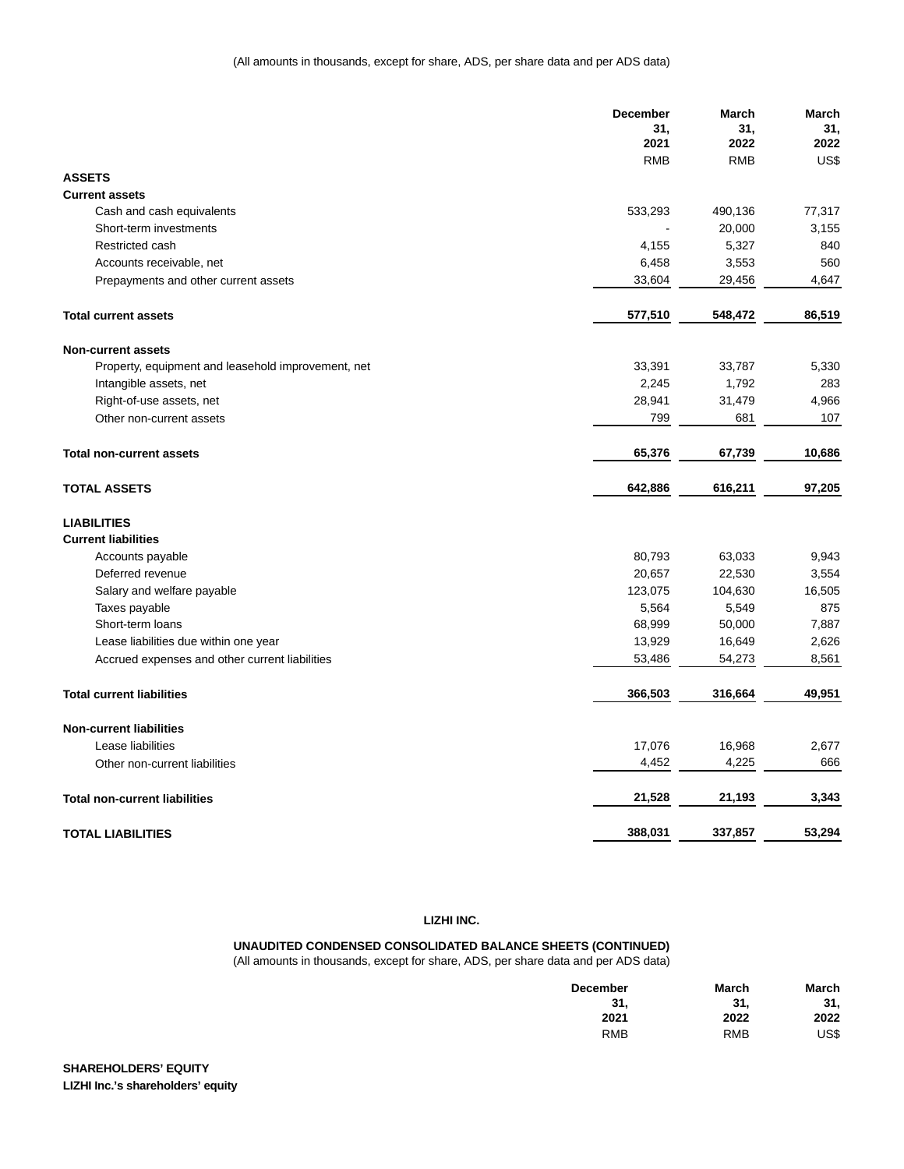|                                                    | <b>December</b> | March      | March  |
|----------------------------------------------------|-----------------|------------|--------|
|                                                    | 31,             | 31,        | 31,    |
|                                                    | 2021            | 2022       | 2022   |
|                                                    | <b>RMB</b>      | <b>RMB</b> | US\$   |
| <b>ASSETS</b>                                      |                 |            |        |
| <b>Current assets</b>                              |                 |            |        |
| Cash and cash equivalents                          | 533,293         | 490,136    | 77,317 |
| Short-term investments                             |                 | 20,000     | 3,155  |
| Restricted cash                                    | 4,155           | 5,327      | 840    |
| Accounts receivable, net                           | 6,458           | 3,553      | 560    |
| Prepayments and other current assets               | 33,604          | 29,456     | 4.647  |
| <b>Total current assets</b>                        | 577,510         | 548,472    | 86,519 |
| <b>Non-current assets</b>                          |                 |            |        |
| Property, equipment and leasehold improvement, net | 33,391          | 33,787     | 5,330  |
| Intangible assets, net                             | 2,245           | 1,792      | 283    |
| Right-of-use assets, net                           | 28,941          | 31,479     | 4,966  |
| Other non-current assets                           | 799             | 681        | 107    |
|                                                    |                 |            |        |
| <b>Total non-current assets</b>                    | 65,376          | 67,739     | 10,686 |
| <b>TOTAL ASSETS</b>                                | 642,886         | 616,211    | 97,205 |
| <b>LIABILITIES</b>                                 |                 |            |        |
| <b>Current liabilities</b>                         |                 |            |        |
| Accounts payable                                   | 80,793          | 63,033     | 9,943  |
| Deferred revenue                                   | 20,657          | 22,530     | 3,554  |
| Salary and welfare payable                         | 123,075         | 104,630    | 16,505 |
| Taxes payable                                      | 5,564           | 5,549      | 875    |
| Short-term loans                                   | 68,999          | 50,000     | 7,887  |
| Lease liabilities due within one year              | 13,929          | 16,649     | 2,626  |
| Accrued expenses and other current liabilities     | 53,486          | 54,273     | 8,561  |
| <b>Total current liabilities</b>                   | 366,503         | 316,664    | 49,951 |
| <b>Non-current liabilities</b>                     |                 |            |        |
| Lease liabilities                                  | 17,076          | 16,968     | 2,677  |
| Other non-current liabilities                      | 4,452           | 4,225      | 666    |
| <b>Total non-current liabilities</b>               | 21,528          | 21,193     | 3,343  |
| <b>TOTAL LIABILITIES</b>                           | 388,031         | 337,857    | 53,294 |

## **LIZHI INC.**

**UNAUDITED CONDENSED CONSOLIDATED BALANCE SHEETS (CONTINUED)** (All amounts in thousands, except for share, ADS, per share data and per ADS data)

| <b>December</b> | March      | March |
|-----------------|------------|-------|
| 31.             | 31.        | 31,   |
| 2021            | 2022       | 2022  |
| <b>RMB</b>      | <b>RMB</b> | US\$  |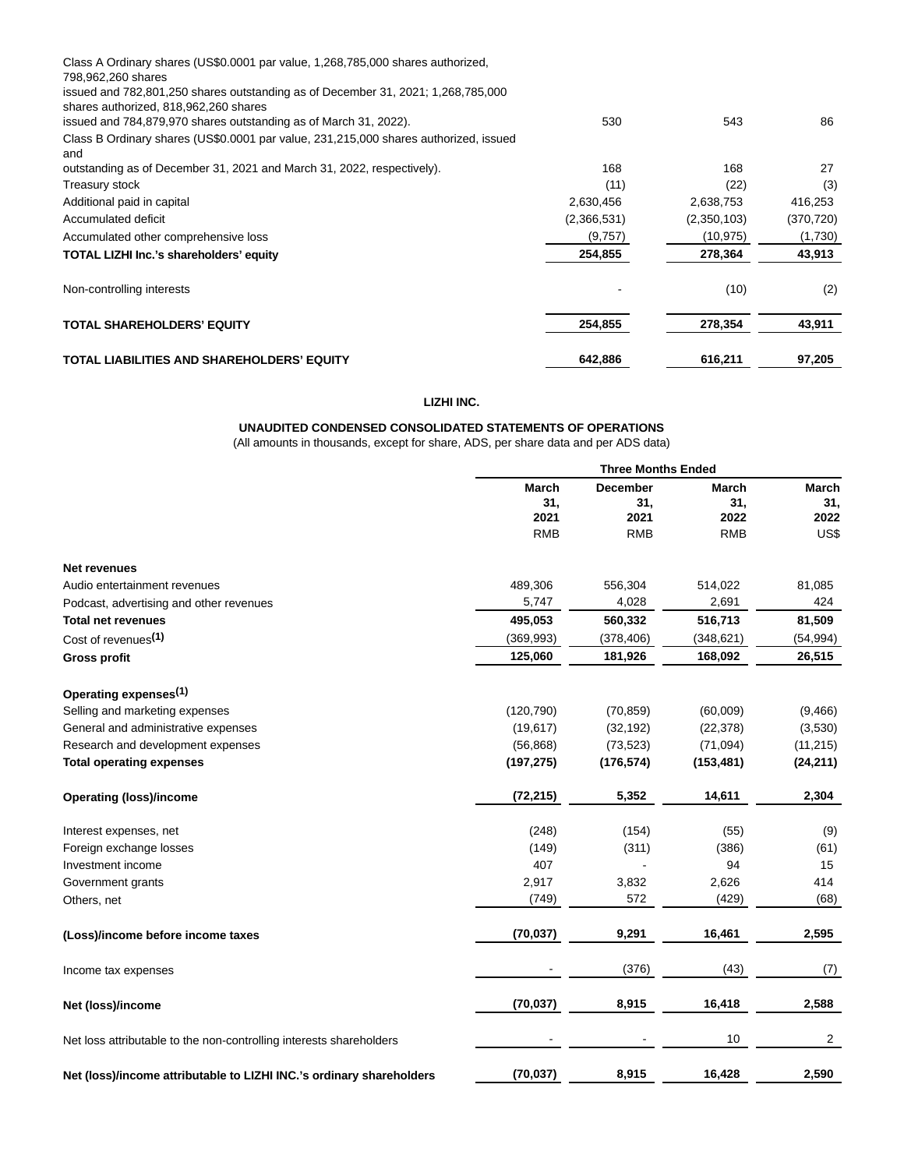| Class A Ordinary shares (US\$0.0001 par value, 1,268,785,000 shares authorized,<br>798,962,260 shares |             |             |            |
|-------------------------------------------------------------------------------------------------------|-------------|-------------|------------|
| issued and 782,801,250 shares outstanding as of December 31, 2021; 1,268,785,000                      |             |             |            |
| shares authorized, 818,962,260 shares                                                                 |             |             |            |
| issued and 784,879,970 shares outstanding as of March 31, 2022).                                      | 530         | 543         | 86         |
| Class B Ordinary shares (US\$0.0001 par value, 231,215,000 shares authorized, issued<br>and           |             |             |            |
| outstanding as of December 31, 2021 and March 31, 2022, respectively).                                | 168         | 168         | 27         |
| Treasury stock                                                                                        | (11)        | (22)        | (3)        |
| Additional paid in capital                                                                            | 2,630,456   | 2,638,753   | 416,253    |
| Accumulated deficit                                                                                   | (2,366,531) | (2,350,103) | (370, 720) |
| Accumulated other comprehensive loss                                                                  | (9,757)     | (10, 975)   | (1,730)    |
| TOTAL LIZHI Inc.'s shareholders' equity                                                               | 254,855     | 278,364     | 43,913     |
| Non-controlling interests                                                                             |             | (10)        | (2)        |
| <b>TOTAL SHAREHOLDERS' EQUITY</b>                                                                     | 254,855     | 278,354     | 43,911     |
| TOTAL LIABILITIES AND SHAREHOLDERS' EQUITY                                                            | 642,886     | 616,211     | 97,205     |

## **LIZHI INC.**

# **UNAUDITED CONDENSED CONSOLIDATED STATEMENTS OF OPERATIONS**

(All amounts in thousands, except for share, ADS, per share data and per ADS data)

|                                                                      | <b>Three Months Ended</b>   |                                |                             |                             |
|----------------------------------------------------------------------|-----------------------------|--------------------------------|-----------------------------|-----------------------------|
|                                                                      | <b>March</b><br>31,<br>2021 | <b>December</b><br>31,<br>2021 | <b>March</b><br>31,<br>2022 | <b>March</b><br>31.<br>2022 |
|                                                                      | <b>RMB</b>                  | <b>RMB</b>                     | <b>RMB</b>                  | US\$                        |
| <b>Net revenues</b>                                                  |                             |                                |                             |                             |
| Audio entertainment revenues                                         | 489,306                     | 556,304                        | 514,022                     | 81,085                      |
| Podcast, advertising and other revenues                              | 5,747                       | 4,028                          | 2,691                       | 424                         |
| <b>Total net revenues</b>                                            | 495,053                     | 560,332                        | 516,713                     | 81,509                      |
| Cost of revenues <sup>(1)</sup>                                      | (369, 993)                  | (378, 406)                     | (348, 621)                  | (54, 994)                   |
| <b>Gross profit</b>                                                  | 125,060                     | 181,926                        | 168,092                     | 26,515                      |
| Operating expenses <sup>(1)</sup>                                    |                             |                                |                             |                             |
| Selling and marketing expenses                                       | (120, 790)                  | (70, 859)                      | (60,009)                    | (9,466)                     |
| General and administrative expenses                                  | (19, 617)                   | (32, 192)                      | (22, 378)                   | (3,530)                     |
| Research and development expenses                                    | (56, 868)                   | (73, 523)                      | (71, 094)                   | (11, 215)                   |
| <b>Total operating expenses</b>                                      | (197, 275)                  | (176, 574)                     | (153, 481)                  | (24, 211)                   |
| <b>Operating (loss)/income</b>                                       | (72, 215)                   | 5,352                          | 14,611                      | 2,304                       |
| Interest expenses, net                                               | (248)                       | (154)                          | (55)                        | (9)                         |
| Foreign exchange losses                                              | (149)                       | (311)                          | (386)                       | (61)                        |
| Investment income                                                    | 407                         |                                | 94                          | 15                          |
| Government grants                                                    | 2,917                       | 3,832                          | 2,626                       | 414                         |
| Others, net                                                          | (749)                       | 572                            | (429)                       | (68)                        |
| (Loss)/income before income taxes                                    | (70, 037)                   | 9,291                          | 16,461                      | 2,595                       |
| Income tax expenses                                                  |                             | (376)                          | (43)                        | (7)                         |
| Net (loss)/income                                                    | (70, 037)                   | 8,915                          | 16,418                      | 2,588                       |
| Net loss attributable to the non-controlling interests shareholders  |                             |                                | 10                          | $\overline{2}$              |
| Net (loss)/income attributable to LIZHI INC.'s ordinary shareholders | (70, 037)                   | 8,915                          | 16,428                      | 2,590                       |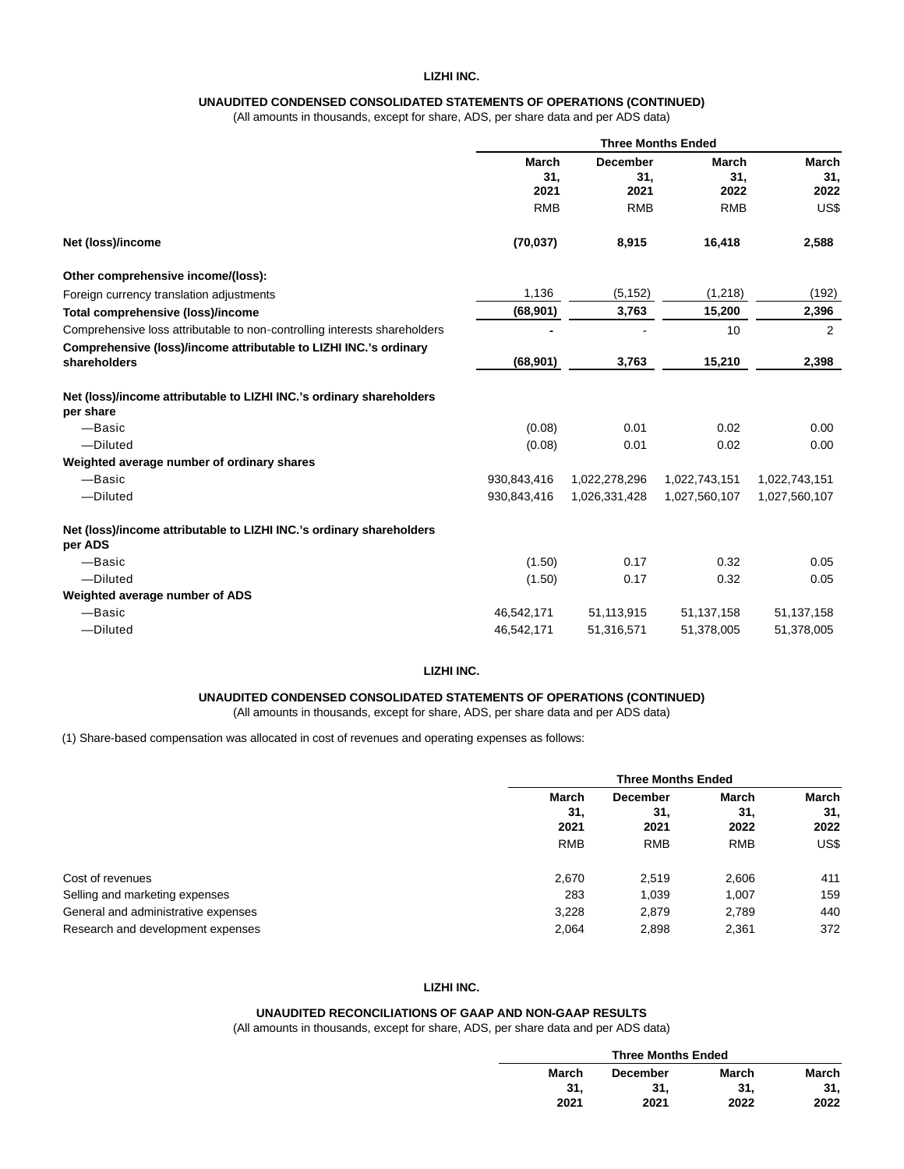# **LIZHI INC.**

# **UNAUDITED CONDENSED CONSOLIDATED STATEMENTS OF OPERATIONS (CONTINUED)**

(All amounts in thousands, except for share, ADS, per share data and per ADS data)

|                                                                                   | <b>Three Months Ended</b> |                 |               |                     |
|-----------------------------------------------------------------------------------|---------------------------|-----------------|---------------|---------------------|
|                                                                                   | March                     | <b>December</b> | March         | <b>March</b><br>31, |
|                                                                                   | 31,                       | 31,             | 31,           |                     |
|                                                                                   | 2021                      | 2021            | 2022          | 2022                |
|                                                                                   | <b>RMB</b>                | <b>RMB</b>      | <b>RMB</b>    | US\$                |
| Net (loss)/income                                                                 | (70, 037)                 | 8,915           | 16,418        | 2,588               |
| Other comprehensive income/(loss):                                                |                           |                 |               |                     |
| Foreign currency translation adjustments                                          | 1,136                     | (5, 152)        | (1,218)       | (192)               |
| Total comprehensive (loss)/income                                                 | (68, 901)                 | 3,763           | 15,200        | 2,396               |
| Comprehensive loss attributable to non-controlling interests shareholders         |                           |                 | 10            | 2                   |
| Comprehensive (loss)/income attributable to LIZHI INC.'s ordinary                 |                           |                 |               |                     |
| shareholders                                                                      | (68, 901)                 | 3,763           | 15,210        | 2,398               |
| Net (loss)/income attributable to LIZHI INC.'s ordinary shareholders<br>per share |                           |                 |               |                     |
| -Basic                                                                            | (0.08)                    | 0.01            | 0.02          | 0.00                |
| -Diluted                                                                          | (0.08)                    | 0.01            | 0.02          | 0.00                |
| Weighted average number of ordinary shares                                        |                           |                 |               |                     |
| -Basic                                                                            | 930,843,416               | 1,022,278,296   | 1,022,743,151 | 1,022,743,151       |
| -Diluted                                                                          | 930,843,416               | 1,026,331,428   | 1,027,560,107 | 1,027,560,107       |
| Net (loss)/income attributable to LIZHI INC.'s ordinary shareholders              |                           |                 |               |                     |
| per ADS                                                                           |                           |                 |               |                     |
| -Basic                                                                            | (1.50)                    | 0.17            | 0.32          | 0.05                |
| -Diluted                                                                          | (1.50)                    | 0.17            | 0.32          | 0.05                |
| Weighted average number of ADS                                                    |                           |                 |               |                     |
| -Basic                                                                            | 46,542,171                | 51, 113, 915    | 51, 137, 158  | 51,137,158          |
| -Diluted                                                                          | 46,542,171                | 51,316,571      | 51,378,005    | 51,378,005          |

#### **LIZHI INC.**

## **UNAUDITED CONDENSED CONSOLIDATED STATEMENTS OF OPERATIONS (CONTINUED)**

(All amounts in thousands, except for share, ADS, per share data and per ADS data)

(1) Share-based compensation was allocated in cost of revenues and operating expenses as follows:

|                                     |                      | <b>Three Months Ended</b>      |            |                             |
|-------------------------------------|----------------------|--------------------------------|------------|-----------------------------|
|                                     | March<br>31.<br>2021 | <b>December</b><br>31,<br>2021 |            | <b>March</b><br>31,<br>2022 |
|                                     | <b>RMB</b>           | <b>RMB</b>                     | <b>RMB</b> | US\$                        |
| Cost of revenues                    | 2,670                | 2.519                          | 2,606      | 411                         |
| Selling and marketing expenses      | 283                  | 1.039                          | 1,007      | 159                         |
| General and administrative expenses | 3,228                | 2,879                          | 2,789      | 440                         |
| Research and development expenses   | 2,064                | 2,898                          | 2,361      | 372                         |

## **LIZHI INC.**

### **UNAUDITED RECONCILIATIONS OF GAAP AND NON-GAAP RESULTS**

(All amounts in thousands, except for share, ADS, per share data and per ADS data)

| <b>Three Months Ended</b> |       |       |  |  |
|---------------------------|-------|-------|--|--|
| <b>December</b>           | March | March |  |  |
| 31.                       | 31.   | 31.   |  |  |
| 2021                      | 2022  | 2022  |  |  |
|                           |       |       |  |  |